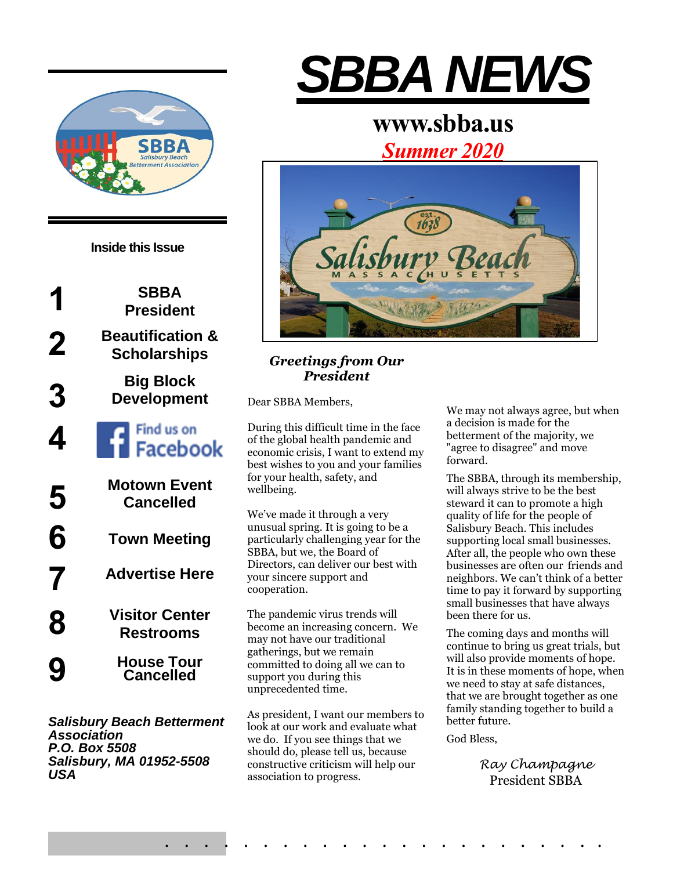



*Salisbury Beach Betterment Association P.O. Box 5508 Salisbury, MA 01952-5508 USA*

# *SBBA NEWS*

# **www.sbba.us**

*Summer 2020*



# *Greetings from Our President*

Dear SBBA Members,

During this difficult time in the face of the global health pandemic and economic crisis, I want to extend my best wishes to you and your families for your health, safety, and wellbeing.

We've made it through a very unusual spring. It is going to be a particularly challenging year for the SBBA, but we, the Board of Directors, can deliver our best with your sincere support and cooperation.

The pandemic virus trends will become an increasing concern. We may not have our traditional gatherings, but we remain committed to doing all we can to support you during this unprecedented time.

As president, I want our members to look at our work and evaluate what we do. If you see things that we should do, please tell us, because constructive criticism will help our association to progress.

. . . . . . . . . . . . . . . . . . . . . . .

We may not always agree, but when a decision is made for the betterment of the majority, we "agree to disagree" and move forward.

The SBBA, through its membership, will always strive to be the best steward it can to promote a high quality of life for the people of Salisbury Beach. This includes supporting local small businesses. After all, the people who own these businesses are often our friends and neighbors. We can't think of a better time to pay it forward by supporting small businesses that have always been there for us.

The coming days and months will continue to bring us great trials, but will also provide moments of hope. It is in these moments of hope, when we need to stay at safe distances, that we are brought together as one family standing together to build a better future.

God Bless,

*Ray Champagne* President SBBA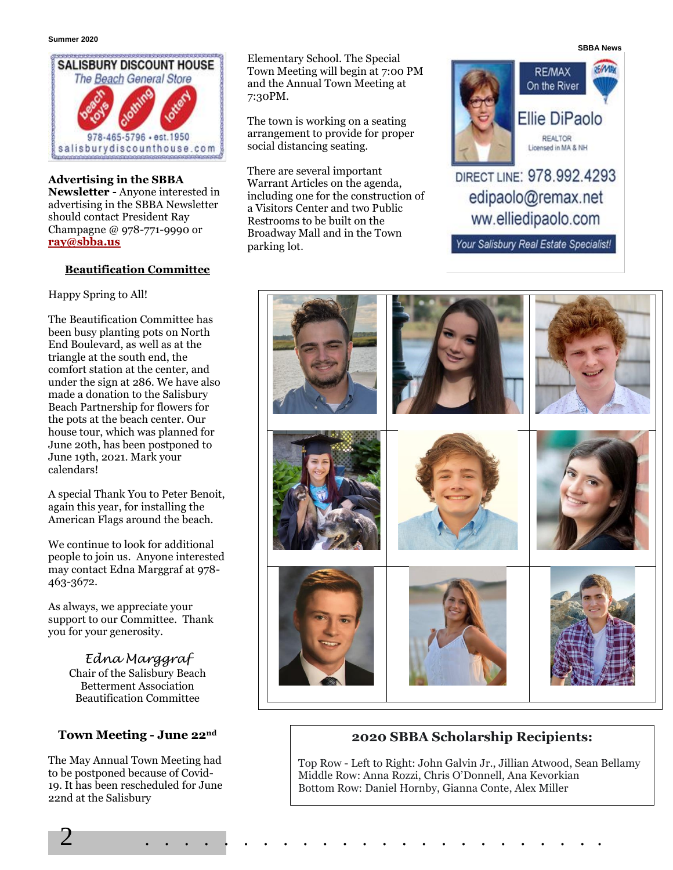

**Advertising in the SBBA Newsletter -** Anyone interested in advertising in the SBBA Newsletter should contact President Ray Champagne @ 978-771-9990 or **[ray@sbba.us](mailto:ray@sbba.us)**

#### **Beautification Committee**

Happy Spring to All!

The Beautification Committee has been busy planting pots on North End Boulevard, as well as at the triangle at the south end, the comfort station at the center, and under the sign at 286. We have also made a donation to the Salisbury Beach Partnership for flowers for the pots at the beach center. Our house tour, which was planned for June 20th, has been postponed to June 19th, 2021. Mark your calendars!

A special Thank You to Peter Benoit, again this year, for installing the American Flags around the beach.

We continue to look for additional people to join us. Anyone interested may contact Edna Marggraf at 978- 463-3672.

As always, we appreciate your support to our Committee. Thank you for your generosity.

> *Edna Marggraf* Chair of the Salisbury Beach Betterment Association Beautification Committee

# **Town Meeting - June 22nd**

The May Annual Town Meeting had to be postponed because of Covid-19. It has been rescheduled for June 22nd at the Salisbury

Elementary School. The Special Town Meeting will begin at 7:00 PM and the Annual Town Meeting at 7:30PM.

The town is working on a seating arrangement to provide for proper social distancing seating.

There are several important Warrant Articles on the agenda, including one for the construction of a Visitors Center and two Public Restrooms to be built on the Broadway Mall and in the Town parking lot.

2 . . . . . . . . . . . . . . . . . . . . . . . .



# DIRECT LINE: 978.992.4293 edipaolo@remax.net ww.elliedipaolo.com

Your Salisbury Real Estate Specialist!



# **2020 SBBA Scholarship Recipients:**

Top Row - Left to Right: John Galvin Jr., Jillian Atwood, Sean Bellamy Middle Row: Anna Rozzi, Chris O'Donnell, Ana Kevorkian Bottom Row: Daniel Hornby, Gianna Conte, Alex Miller

**SBBA News**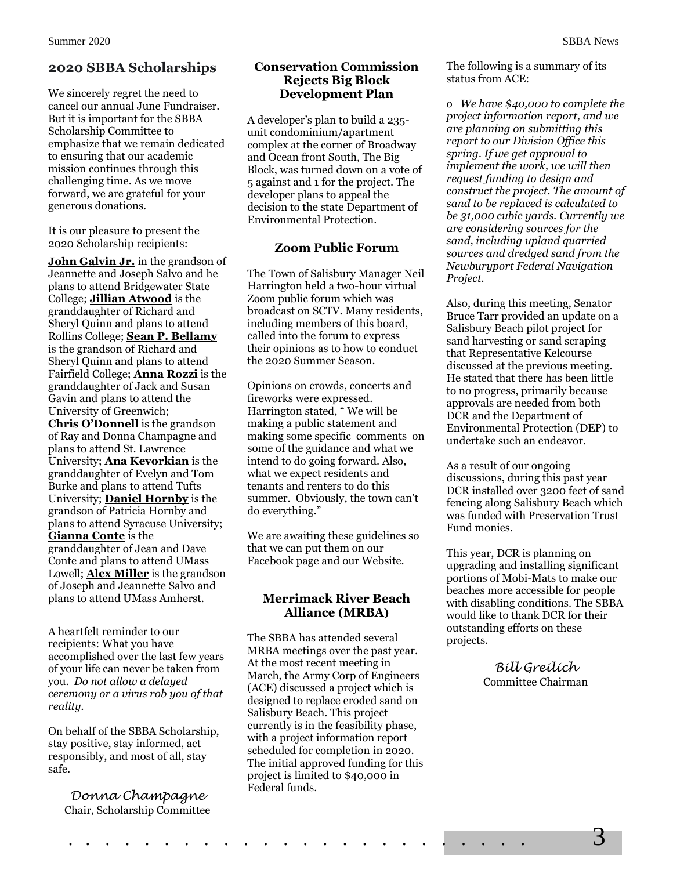# **2020 SBBA Scholarships**

We sincerely regret the need to cancel our annual June Fundraiser. But it is important for the SBBA Scholarship Committee to emphasize that we remain dedicated to ensuring that our academic mission continues through this challenging time. As we move forward, we are grateful for your generous donations.

It is our pleasure to present the 2020 Scholarship recipients:

**John Galvin Jr.** in the grandson of Jeannette and Joseph Salvo and he plans to attend Bridgewater State College; **Jillian Atwood** is the granddaughter of Richard and Sheryl Quinn and plans to attend Rollins College; **Sean P. Bellamy** is the grandson of Richard and Sheryl Quinn and plans to attend Fairfield College; **Anna Rozzi** is the granddaughter of Jack and Susan Gavin and plans to attend the University of Greenwich; **Chris O'Donnell** is the grandson of Ray and Donna Champagne and plans to attend St. Lawrence University; **Ana Kevorkian** is the granddaughter of Evelyn and Tom Burke and plans to attend Tufts University; **Daniel Hornby** is the grandson of Patricia Hornby and plans to attend Syracuse University; **Gianna Conte** is the granddaughter of Jean and Dave Conte and plans to attend UMass Lowell; **Alex Miller** is the grandson of Joseph and Jeannette Salvo and plans to attend UMass Amherst.

A heartfelt reminder to our recipients: What you have accomplished over the last few years of your life can never be taken from you. *Do not allow a delayed ceremony or a virus rob you of that reality.*

On behalf of the SBBA Scholarship, stay positive, stay informed, act responsibly, and most of all, stay safe.

*Donna Champagne* Chair, Scholarship Committee

#### **Conservation Commission Rejects Big Block Development Plan**

A developer's plan to build a 235 unit condominium/apartment complex at the corner of Broadway and Ocean front South, The Big Block, was turned down on a vote of 5 against and 1 for the project. The developer plans to appeal the decision to the state Department of Environmental Protection.

## **Zoom Public Forum**

The Town of Salisbury Manager Neil Harrington held a two-hour virtual Zoom public forum which was broadcast on SCTV. Many residents, including members of this board, called into the forum to express their opinions as to how to conduct the 2020 Summer Season.

Opinions on crowds, concerts and fireworks were expressed. Harrington stated, " We will be making a public statement and making some specific comments on some of the guidance and what we intend to do going forward. Also, what we expect residents and tenants and renters to do this summer. Obviously, the town can't do everything."

We are awaiting these guidelines so that we can put them on our Facebook page and our Website.

#### **Merrimack River Beach Alliance (MRBA)**

The SBBA has attended several MRBA meetings over the past year. At the most recent meeting in March, the Army Corp of Engineers (ACE) discussed a project which is designed to replace eroded sand on Salisbury Beach. This project currently is in the feasibility phase, with a project information report scheduled for completion in 2020. The initial approved funding for this project is limited to \$40,000 in Federal funds.

. . . . . . . . . . . . . . . . . . . . . . . . 3

The following is a summary of its status from ACE:

o *We have \$40,000 to complete the project information report, and we are planning on submitting this report to our Division Office this spring. If we get approval to implement the work, we will then request funding to design and construct the project. The amount of sand to be replaced is calculated to be 31,000 cubic yards. Currently we are considering sources for the sand, including upland quarried sources and dredged sand from the Newburyport Federal Navigation Project.*

Also, during this meeting, Senator Bruce Tarr provided an update on a Salisbury Beach pilot project for sand harvesting or sand scraping that Representative Kelcourse discussed at the previous meeting. He stated that there has been little to no progress, primarily because approvals are needed from both DCR and the Department of Environmental Protection (DEP) to undertake such an endeavor.

As a result of our ongoing discussions, during this past year DCR installed over 3200 feet of sand fencing along Salisbury Beach which was funded with Preservation Trust Fund monies.

This year, DCR is planning on upgrading and installing significant portions of Mobi-Mats to make our beaches more accessible for people with disabling conditions. The SBBA would like to thank DCR for their outstanding efforts on these projects.

> *Bill Greilich* Committee Chairman